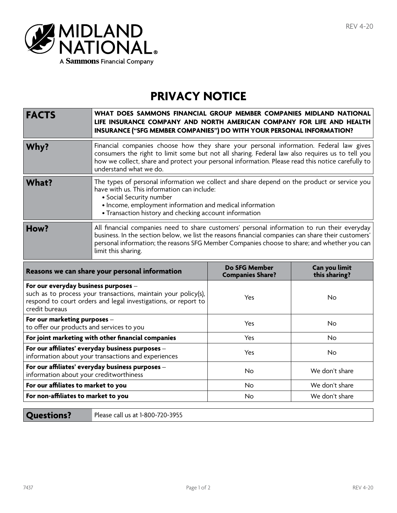

## **PRIVACY NOTICE**

| <b>FACTS</b>                                                              | WHAT DOES SAMMONS FINANCIAL GROUP MEMBER COMPANIES MIDLAND NATIONAL<br>LIFE INSURANCE COMPANY AND NORTH AMERICAN COMPANY FOR LIFE AND HEALTH<br>INSURANCE ("SFG MEMBER COMPANIES") DO WITH YOUR PERSONAL INFORMATION?                                                                                                    |                         |                |
|---------------------------------------------------------------------------|--------------------------------------------------------------------------------------------------------------------------------------------------------------------------------------------------------------------------------------------------------------------------------------------------------------------------|-------------------------|----------------|
| Why?                                                                      | Financial companies choose how they share your personal information. Federal law gives<br>consumers the right to limit some but not all sharing. Federal law also requires us to tell you<br>how we collect, share and protect your personal information. Please read this notice carefully to<br>understand what we do. |                         |                |
| <b>What?</b>                                                              | The types of personal information we collect and share depend on the product or service you<br>have with us. This information can include:<br>• Social Security number<br>• Income, employment information and medical information<br>• Transaction history and checking account information                             |                         |                |
| How?                                                                      | All financial companies need to share customers' personal information to run their everyday<br>business. In the section below, we list the reasons financial companies can share their customers'<br>personal information; the reasons SFG Member Companies choose to share; and whether you can<br>limit this sharing.  |                         |                |
| Reasons we can share your personal information                            |                                                                                                                                                                                                                                                                                                                          | <b>Do SFG Member</b>    | Can you limit  |
|                                                                           |                                                                                                                                                                                                                                                                                                                          | <b>Companies Share?</b> | this sharing?  |
| For our everyday business purposes -<br>credit bureaus                    | such as to process your transactions, maintain your policy(s),<br>respond to court orders and legal investigations, or report to                                                                                                                                                                                         | Yes                     | <b>No</b>      |
| For our marketing purposes -<br>to offer our products and services to you |                                                                                                                                                                                                                                                                                                                          | Yes                     | <b>No</b>      |
|                                                                           | For joint marketing with other financial companies                                                                                                                                                                                                                                                                       | Yes                     | No             |
|                                                                           | For our affiliates' everyday business purposes -<br>information about your transactions and experiences                                                                                                                                                                                                                  | Yes                     | No             |
| information about your creditworthiness                                   | For our affiliates' everyday business purposes -                                                                                                                                                                                                                                                                         | No                      | We don't share |
| For our affiliates to market to you                                       |                                                                                                                                                                                                                                                                                                                          | No                      | We don't share |
| For non-affiliates to market to you                                       |                                                                                                                                                                                                                                                                                                                          | No                      | We don't share |

**Questions?** Please call us at 1-800-720-3955